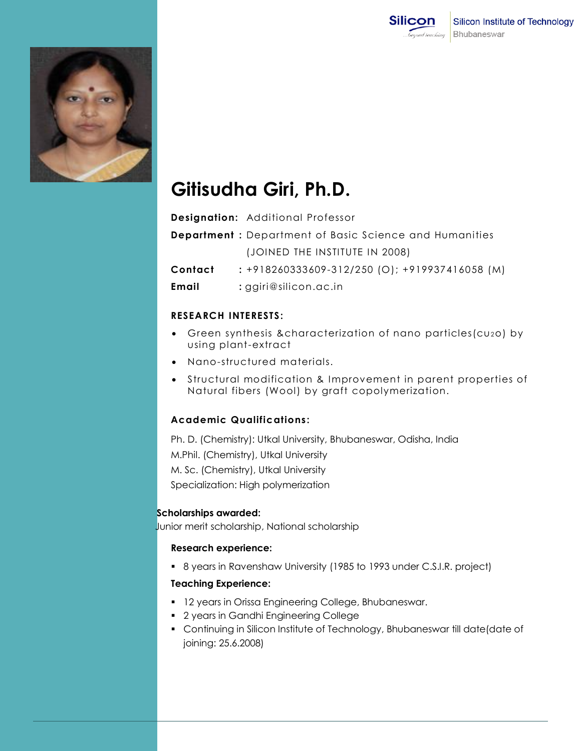



# **Gitisudha Giri, Ph.D.**

|         | <b>Designation:</b> Additional Professor                      |
|---------|---------------------------------------------------------------|
|         | <b>Department:</b> Department of Basic Science and Humanities |
|         | (JOINED THE INSTITUTE IN 2008)                                |
| Contact | $: +918260333609 - 312/250$ (O); $+919937416058$ (M)          |
| Email   | : $ggiri@silicon.ac.in$                                       |

#### **RESEARCH INTERESTS:**

- Green synthesis &characterization of nano particles(cu2o) by using plant-extract
- Nano-structured materials.
- Structural modification & Improvement in parent properties of Natural fibers (Wool) by graft copolymerization.

### **Academic Qualifications :**

Ph. D. (Chemistry): Utkal University, Bhubaneswar, Odisha, India M.Phil. (Chemistry), Utkal University M. Sc. (Chemistry), Utkal University Specialization: High polymerization

#### **Scholarships awarded:**

Junior merit scholarship, National scholarship

#### **Research experience:**

8 years in Ravenshaw University (1985 to 1993 under C.S.I.R. project)

## **Teaching Experience:**

- <sup>1</sup> 12 years in Orissa Engineering College, Bhubaneswar.
- 2 years in Gandhi Engineering College
- Continuing in Silicon Institute of Technology, Bhubaneswar till date(date of joining: 25.6.2008)